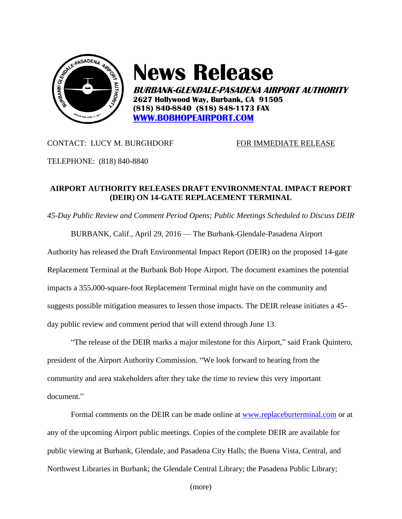

## **News Release**

**BURBANK-GLENDALE-PASADENA AIRPORT AUTHORITY 2627 Hollywood Way, Burbank, CA 91505 (818) 840-8840 (818) 848-1173 FAX [WWW.BOBHOPEAIRPORT.COM](http://www.bobhopeairport.com/)**

## CONTACT: LUCY M. BURGHDORF FOR IMMEDIATE RELEASE

TELEPHONE: (818) 840-8840

## **AIRPORT AUTHORITY RELEASES DRAFT ENVIRONMENTAL IMPACT REPORT (DEIR) ON 14-GATE REPLACEMENT TERMINAL**

*45-Day Public Review and Comment Period Opens; Public Meetings Scheduled to Discuss DEIR*

BURBANK, Calif., April 29, 2016 — The Burbank-Glendale-Pasadena Airport

Authority has released the Draft Environmental Impact Report (DEIR) on the proposed 14-gate Replacement Terminal at the Burbank Bob Hope Airport. The document examines the potential impacts a 355,000-square-foot Replacement Terminal might have on the community and suggests possible mitigation measures to lessen those impacts. The DEIR release initiates a 45 day public review and comment period that will extend through June 13.

"The release of the DEIR marks a major milestone for this Airport," said Frank Quintero, president of the Airport Authority Commission. "We look forward to hearing from the community and area stakeholders after they take the time to review this very important document."

Formal comments on the DEIR can be made online at [www.replaceburterminal.com](http://www.replaceburterminal.com/) or at any of the upcoming Airport public meetings. Copies of the complete DEIR are available for public viewing at Burbank, Glendale, and Pasadena City Halls; the Buena Vista, Central, and Northwest Libraries in Burbank; the Glendale Central Library; the Pasadena Public Library;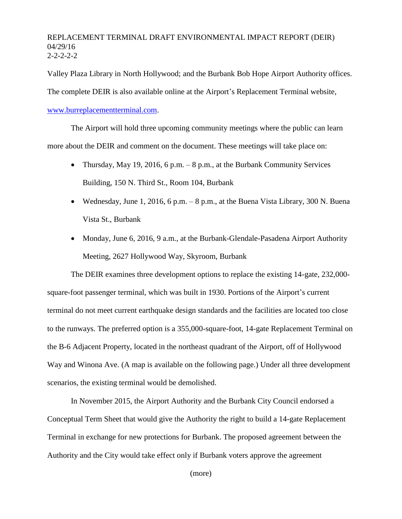## REPLACEMENT TERMINAL DRAFT ENVIRONMENTAL IMPACT REPORT (DEIR) 04/29/16  $2 - 2 - 2 - 2$

Valley Plaza Library in North Hollywood; and the Burbank Bob Hope Airport Authority offices. The complete DEIR is also available online at the Airport's Replacement Terminal website, [www.burreplacementterminal.com.](http://www.burreplacementterminal.com/)

The Airport will hold three upcoming community meetings where the public can learn more about the DEIR and comment on the document. These meetings will take place on:

- Thursday, May 19, 2016, 6 p.m. 8 p.m., at the Burbank Community Services Building, 150 N. Third St., Room 104, Burbank
- Wednesday, June 1, 2016, 6 p.m. 8 p.m., at the Buena Vista Library, 300 N. Buena Vista St., Burbank
- Monday, June 6, 2016, 9 a.m., at the Burbank-Glendale-Pasadena Airport Authority Meeting, 2627 Hollywood Way, Skyroom, Burbank

The DEIR examines three development options to replace the existing 14-gate, 232,000 square-foot passenger terminal, which was built in 1930. Portions of the Airport's current terminal do not meet current earthquake design standards and the facilities are located too close to the runways. The preferred option is a 355,000-square-foot, 14-gate Replacement Terminal on the B-6 Adjacent Property, located in the northeast quadrant of the Airport, off of Hollywood Way and Winona Ave. (A map is available on the following page.) Under all three development scenarios, the existing terminal would be demolished.

In November 2015, the Airport Authority and the Burbank City Council endorsed a Conceptual Term Sheet that would give the Authority the right to build a 14-gate Replacement Terminal in exchange for new protections for Burbank. The proposed agreement between the Authority and the City would take effect only if Burbank voters approve the agreement